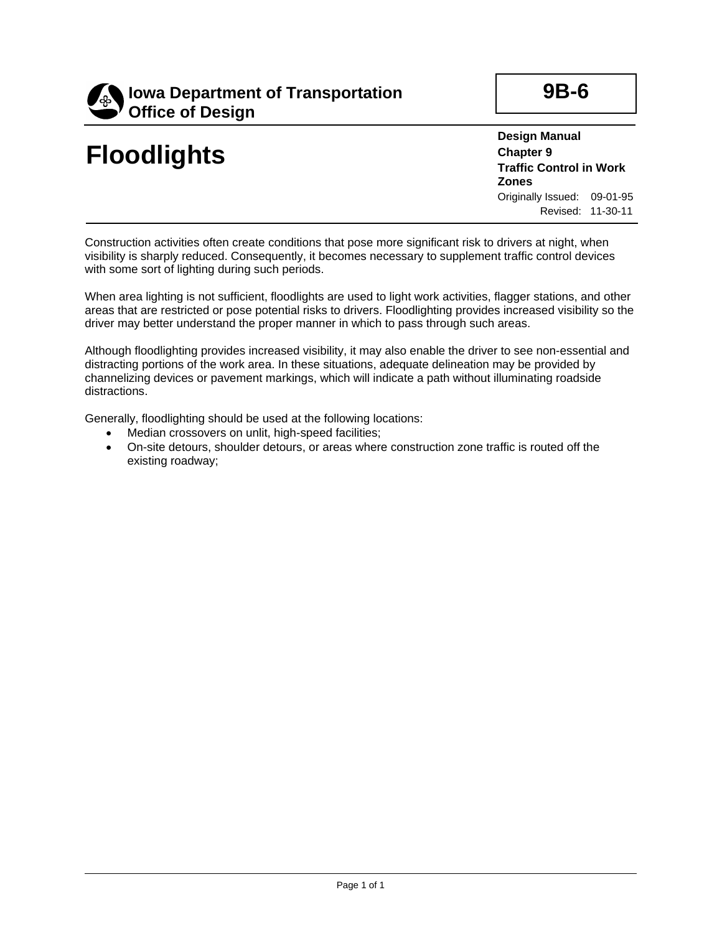

## **Floodlights**

**9B-6**

**Design Manual Chapter 9 Traffic Control in Work Zones** Originally Issued: 09-01-95 Revised: 11-30-11

Construction activities often create conditions that pose more significant risk to drivers at night, when visibility is sharply reduced. Consequently, it becomes necessary to supplement traffic control devices with some sort of lighting during such periods.

When area lighting is not sufficient, floodlights are used to light work activities, flagger stations, and other areas that are restricted or pose potential risks to drivers. Floodlighting provides increased visibility so the driver may better understand the proper manner in which to pass through such areas.

Although floodlighting provides increased visibility, it may also enable the driver to see non-essential and distracting portions of the work area. In these situations, adequate delineation may be provided by channelizing devices or pavement markings, which will indicate a path without illuminating roadside distractions.

Generally, floodlighting should be used at the following locations:

- Median crossovers on unlit, high-speed facilities;
- On-site detours, shoulder detours, or areas where construction zone traffic is routed off the existing roadway;